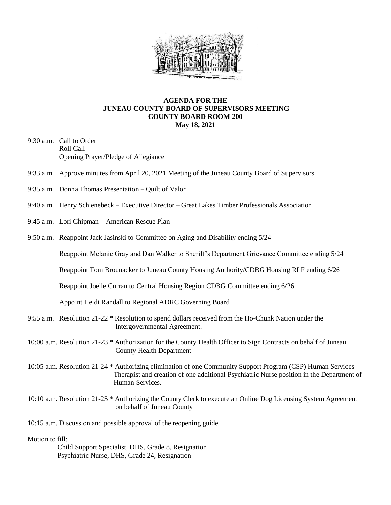

## **AGENDA FOR THE JUNEAU COUNTY BOARD OF SUPERVISORS MEETING COUNTY BOARD ROOM 200 May 18, 2021**

- 9:30 a.m. Call to Order Roll Call Opening Prayer/Pledge of Allegiance
- 9:33 a.m. Approve minutes from April 20, 2021 Meeting of the Juneau County Board of Supervisors
- 9:35 a.m. Donna Thomas Presentation Quilt of Valor
- 9:40 a.m. Henry Schienebeck Executive Director Great Lakes Timber Professionals Association
- 9:45 a.m. Lori Chipman American Rescue Plan
- 9:50 a.m. Reappoint Jack Jasinski to Committee on Aging and Disability ending 5/24

Reappoint Melanie Gray and Dan Walker to Sheriff's Department Grievance Committee ending 5/24

Reappoint Tom Brounacker to Juneau County Housing Authority/CDBG Housing RLF ending 6/26

Reappoint Joelle Curran to Central Housing Region CDBG Committee ending 6/26

Appoint Heidi Randall to Regional ADRC Governing Board

- 9:55 a.m. Resolution 21-22 \* Resolution to spend dollars received from the Ho-Chunk Nation under the Intergovernmental Agreement.
- 10:00 a.m. Resolution 21-23 \* Authorization for the County Health Officer to Sign Contracts on behalf of Juneau County Health Department
- 10:05 a.m. Resolution 21-24 \* Authorizing elimination of one Community Support Program (CSP) Human Services Therapist and creation of one additional Psychiatric Nurse position in the Department of Human Services.
- 10:10 a.m. Resolution 21-25 \* Authorizing the County Clerk to execute an Online Dog Licensing System Agreement on behalf of Juneau County

10:15 a.m. Discussion and possible approval of the reopening guide.

## Motion to fill:

 Child Support Specialist, DHS, Grade 8, Resignation Psychiatric Nurse, DHS, Grade 24, Resignation